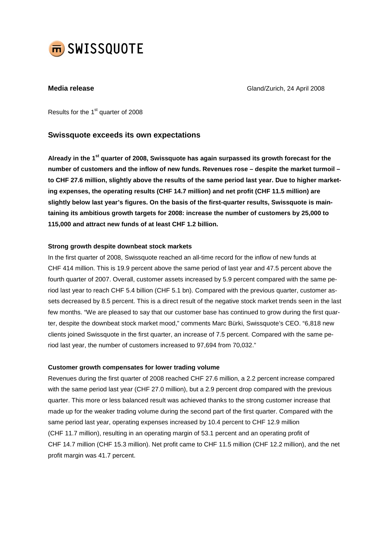

**Media release** Gland/Zurich, 24 April 2008

Results for the 1<sup>st</sup> quarter of 2008

## **Swissquote exceeds its own expectations**

**Already in the 1 st quarter of 2008, Swissquote has again surpassed its growth forecast for the number of customers and the inflow of new funds. Revenues rose – despite the market turmoil –** to CHF 27.6 million, slightly above the results of the same period last year. Due to higher market**ing expenses, the operating results (CHF 14.7 million) and net profit (CHF 11.5 million) are slightly below last year's figures. On the basis of the first-quarter results, Swissquote is maintaining its ambitious growth targets for 2008: increase the number of customers by 25,000 to 115,000 and attract new funds of at least CHF 1.2 billion.**

### **Strong growth despite downbeat stock markets**

In the first quarter of 2008, Swissquote reached an all-time record for the inflow of new funds at CHF 414 million. This is 19.9 percent above the same period of last year and 47.5 percent above the fourth quarter of 2007. Overall, customer assets increased by 5.9 percent compared with the same period last year to reach CHF 5.4 billion (CHF 5.1 bn). Compared with the previous quarter, customer assets decreased by 8.5 percent. This is a direct result of the negative stock market trends seen in the last few months. "We are pleased to say that our customer base has continued to grow during the first quarter, despite the downbeat stock market mood," comments Marc Bürki, Swissquote's CEO. "6,818 new clients joined Swissquote in the first quarter, an increase of 7.5 percent. Compared with the same period last year, the number of customers increased to 97,694 from 70,032."

### **Customer growth compensates for lower trading volume**

Revenues during the first quarter of 2008 reached CHF 27.6 million, a 2.2 percent increase compared with the same period last year (CHF 27.0 million), but a 2.9 percent drop compared with the previous quarter. This more or less balanced result was achieved thanks to the strong customer increase that made up for the weaker trading volume during the second part of the first quarter. Compared with the same period last year, operating expenses increased by 10.4 percent to CHF 12.9 million (CHF 11.7 million), resulting in an operating margin of 53.1 percent and an operating profit of CHF 14.7 million (CHF 15.3 million). Net profit came to CHF 11.5 million (CHF 12.2 million), and the net profit margin was 41.7 percent.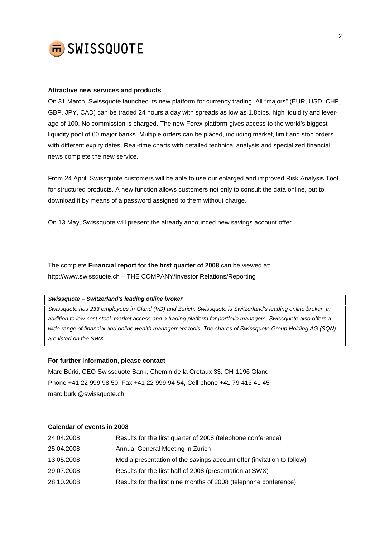

#### **Attractive new services and products**

On 31 March, Swissquote launched its new platform for currency trading. All "majors" (EUR, USD, CHF, GBP, JPY, CAD) can be traded 24 hours a day with spreads as low as 1.8pips, high liquidity and leverage of 100. No commission is charged. The new Forex platform gives access to the world's biggest liquidity pool of 60 major banks. Multiple orders can be placed, including market, limit and stop orders with different expiry dates. Real-time charts with detailed technical analysis and specialized financial news complete the new service.

From 24 April, Swissquote customers will be able to use our enlarged and improved Risk Analysis Tool for structured products. A new function allows customers not only to consult the data online, but to download it by means of a password assigned to them without charge.

On 13 May, Swissquote will present the already announced new savings account offer.

The complete **Financial report for the first quarter of 2008** can be viewed at: <http://www.swissquote.ch> – THE COMPANY/Investor Relations/Reporting

*Swissquote – Switzerland's leading online broker*

*Swissquote has 233 employees in Gland (VD) and Zurich. Swissquote is Switzerland's leading online broker. In* addition to low-cost stock market access and a trading platform for portfolio managers, Swissquote also offers a wide range of financial and online wealth management tools. The shares of Swissquote Group Holding AG (SQN) *are listed on the SWX.*

### **For further information, please contact**

Marc Bürki, CEO Swissquote Bank, Chemin de la Crétaux 33, CH-1196 Gland Phone +41 22 999 98 50, Fax +41 22 999 94 54, Cell phone +41 79 413 41 45 [marc.burki@swissquote.ch](mailto:marc.burki@swissquote.ch)

#### **Calendar of events in 2008**

| 24.04.2008 | Results for the first quarter of 2008 (telephone conference)           |
|------------|------------------------------------------------------------------------|
| 25.04.2008 | Annual General Meeting in Zurich                                       |
| 13.05.2008 | Media presentation of the savings account offer (invitation to follow) |
| 29.07.2008 | Results for the first half of 2008 (presentation at SWX)               |
| 28.10.2008 | Results for the first nine months of 2008 (telephone conference)       |